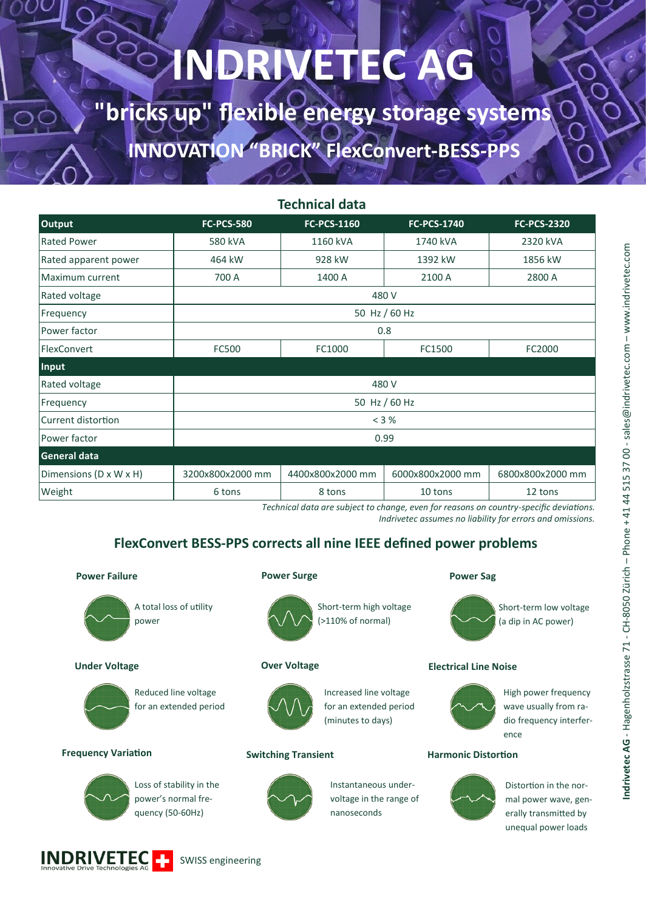# **INDRIVETEC AG**

**"bricks up" flexible energy storage systems INNOVATION "BRICK" FlexConvert-BESS-PPS**

| <b>Technical data</b>  |                   |                    |                    |                    |
|------------------------|-------------------|--------------------|--------------------|--------------------|
| <b>Output</b>          | <b>FC-PCS-580</b> | <b>FC-PCS-1160</b> | <b>FC-PCS-1740</b> | <b>FC-PCS-2320</b> |
| Rated Power            | 580 kVA           | 1160 kVA           | 1740 kVA           | 2320 kVA           |
| Rated apparent power   | 464 kW            | 928 kW             | 1392 kW            | 1856 kW            |
| Maximum current        | 700 A             | 1400 A             | 2100 A             | 2800 A             |
| Rated voltage          | 480 V             |                    |                    |                    |
| Frequency              | 50 Hz / 60 Hz     |                    |                    |                    |
| Power factor           | 0.8               |                    |                    |                    |
| FlexConvert            | FC500             | FC1000             | FC1500             | FC2000             |
| Input                  |                   |                    |                    |                    |
| Rated voltage          | 480 V             |                    |                    |                    |
| Frequency              | 50 Hz / 60 Hz     |                    |                    |                    |
| Current distortion     | < 3 %             |                    |                    |                    |
| Power factor           | 0.99              |                    |                    |                    |
| <b>General data</b>    |                   |                    |                    |                    |
| Dimensions (D x W x H) | 3200x800x2000 mm  | 4400x800x2000 mm   | 6000x800x2000 mm   | 6800x800x2000 mm   |
| Weight                 | 6 tons            | 8 tons             | 10 tons            | 12 tons            |

*Technical data are subject to change, even for reasons on country-specific deviations.* 

*Indrivetec assumes no liability for errors and omissions.*

### **FlexConvert BESS-PPS corrects all nine IEEE defined power problems**

### **Power Failure**



A total loss of utility

### **Under Voltage**



Reduced line voltage for an extended period

### **Frequency Variation**



Loss of stability in the power's normal frequency (50-60Hz)



### for an extended period (minutes to days)

Increased line voltage

Short-term high voltage (>110% of normal)

### **Switching Transient Harmonic Distortion**



### Instantaneous under-

voltage in the range of nanoseconds

#### **Power Surge Power Sag**



Short-term low voltage (a dip in AC power)

### **Over Voltage Electrical Line Noise**



High power frequency wave usually from radio frequency interference



Distortion in the normal power wave, generally transmitted by unequal power loads

![](_page_0_Picture_31.jpeg)